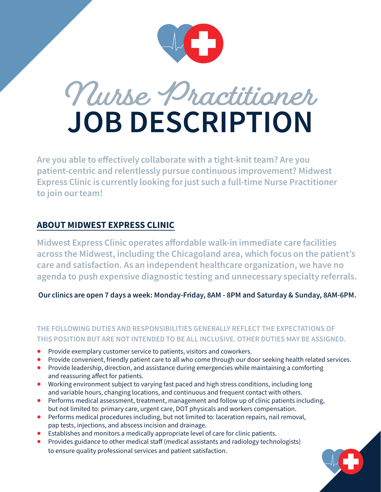



Are you able to effectively collaborate with a tight-knit team? Are you patient-centric and relentlessly pursue continuous improvement? Midwest Express Clinic is currently looking for just such a full-time Nurse Practitioner to join our team!

#### ABOUT MIDWEST EXPRESS CLINIC

Midwest Express Clinic operates affordable walk-in immediate care facilities across the Midwest, including the Chicagoland area, which focus on the patient's care and satisfaction. As an independent healthcare organization, we have no agenda to push expensive diagnostic testing and unnecessary specialty referrals.

Our clinics are open 7 days a week: Monday-Friday, 8AM - 8PM and Saturday & Sunday, 8AM-6PM.

#### **THE FOLLOWING DUTIES AND RESPONSIBILITIES GENERALLY REFLECT THE EXPECTATIONS OF THIS POSITION BUT ARE NOT INTENDED TO BE ALL INCLUSIVE. OTHER DUTIES MAY BE ASSIGNED.**

- Provide exemplary customer service to patients, visitors and coworkers.
- Provide convenient, friendly patient care to all who come through our door seeking health related services.
- Provide leadership, direction, and assistance during emergencies while maintaining a comforting and reassuring affect for patients.
- Working environment subject to varying fast paced and high stress conditions, including long and variable hours, changing locations, and continuous and frequent contact with others.
- Performs medical assessment, treatment, management and follow up of clinic patients including, but not limited to: primary care, urgent care, DOT physicals and workers compensation.
- Performs medical procedures including, but not limited to: laceration repairs, nail removal, pap tests, injections, and abscess incision and drainage.
- Establishes and monitors a medically appropriate level of care for clinic patients.
- Provides guidance to other medical staff (medical assistants and radiology technologists) to ensure quality professional services and patient satisfaction.